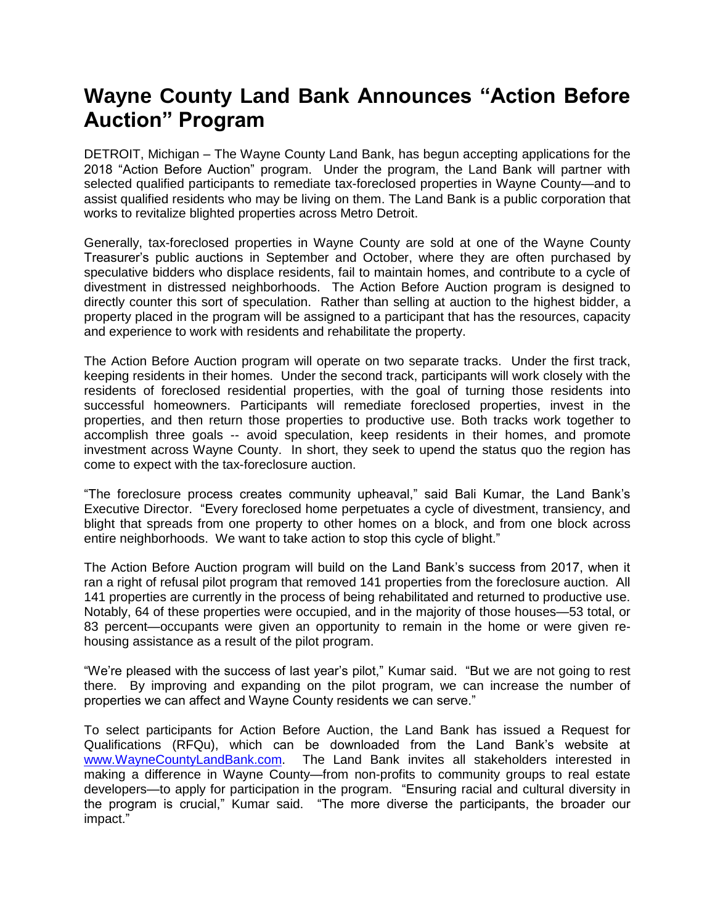## **Wayne County Land Bank Announces "Action Before Auction" Program**

DETROIT, Michigan – The Wayne County Land Bank, has begun accepting applications for the 2018 "Action Before Auction" program. Under the program, the Land Bank will partner with selected qualified participants to remediate tax-foreclosed properties in Wayne County—and to assist qualified residents who may be living on them. The Land Bank is a public corporation that works to revitalize blighted properties across Metro Detroit.

Generally, tax-foreclosed properties in Wayne County are sold at one of the Wayne County Treasurer's public auctions in September and October, where they are often purchased by speculative bidders who displace residents, fail to maintain homes, and contribute to a cycle of divestment in distressed neighborhoods. The Action Before Auction program is designed to directly counter this sort of speculation. Rather than selling at auction to the highest bidder, a property placed in the program will be assigned to a participant that has the resources, capacity and experience to work with residents and rehabilitate the property.

The Action Before Auction program will operate on two separate tracks. Under the first track, keeping residents in their homes. Under the second track, participants will work closely with the residents of foreclosed residential properties, with the goal of turning those residents into successful homeowners. Participants will remediate foreclosed properties, invest in the properties, and then return those properties to productive use. Both tracks work together to accomplish three goals -- avoid speculation, keep residents in their homes, and promote investment across Wayne County. In short, they seek to upend the status quo the region has come to expect with the tax-foreclosure auction.

"The foreclosure process creates community upheaval," said Bali Kumar, the Land Bank's Executive Director. "Every foreclosed home perpetuates a cycle of divestment, transiency, and blight that spreads from one property to other homes on a block, and from one block across entire neighborhoods. We want to take action to stop this cycle of blight."

The Action Before Auction program will build on the Land Bank's success from 2017, when it ran a right of refusal pilot program that removed 141 properties from the foreclosure auction. All 141 properties are currently in the process of being rehabilitated and returned to productive use. Notably, 64 of these properties were occupied, and in the majority of those houses—53 total, or 83 percent—occupants were given an opportunity to remain in the home or were given rehousing assistance as a result of the pilot program.

"We're pleased with the success of last year's pilot," Kumar said. "But we are not going to rest there. By improving and expanding on the pilot program, we can increase the number of properties we can affect and Wayne County residents we can serve."

To select participants for Action Before Auction, the Land Bank has issued a Request for Qualifications (RFQu), which can be downloaded from the Land Bank's website at [www.WayneCountyLandBank.com.](http://www.waynecountylandbank.com/) The Land Bank invites all stakeholders interested in making a difference in Wayne County—from non-profits to community groups to real estate developers—to apply for participation in the program. "Ensuring racial and cultural diversity in the program is crucial," Kumar said. "The more diverse the participants, the broader our impact."